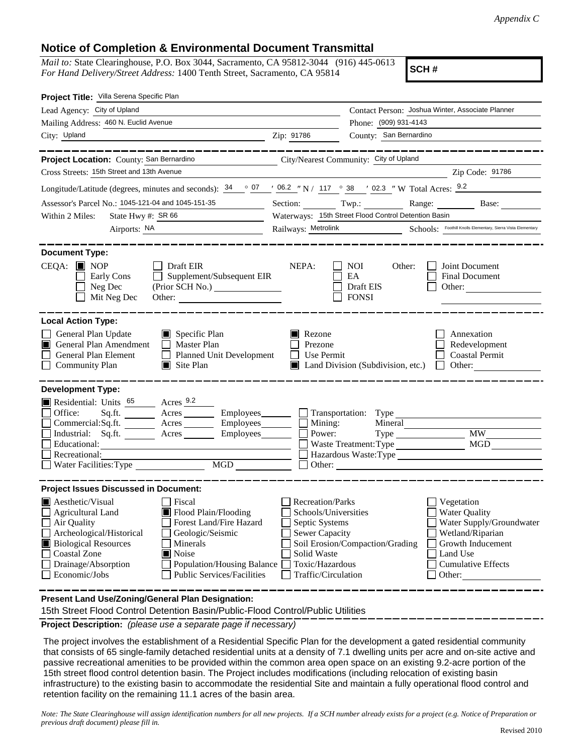## **Notice of Completion & Environmental Document Transmittal**

*Mail to:* State Clearinghouse, P.O. Box 3044, Sacramento, CA 95812-3044 (916) 445-0613 *For Hand Delivery/Street Address:* 1400 Tenth Street, Sacramento, CA 95814

**SCH #**

| Project Title: Villa Serena Specific Plan                                                                                                                                                                                                                                                                                                                                                    |                                                                                                                                                                                                                                                                                                                                               |
|----------------------------------------------------------------------------------------------------------------------------------------------------------------------------------------------------------------------------------------------------------------------------------------------------------------------------------------------------------------------------------------------|-----------------------------------------------------------------------------------------------------------------------------------------------------------------------------------------------------------------------------------------------------------------------------------------------------------------------------------------------|
| Lead Agency: City of Upland                                                                                                                                                                                                                                                                                                                                                                  | Contact Person: Joshua Winter, Associate Planner                                                                                                                                                                                                                                                                                              |
| Mailing Address: 460 N. Euclid Avenue                                                                                                                                                                                                                                                                                                                                                        | Phone: (909) 931-4143                                                                                                                                                                                                                                                                                                                         |
| City: Upland                                                                                                                                                                                                                                                                                                                                                                                 | County: San Bernardino<br>Zip: 91786                                                                                                                                                                                                                                                                                                          |
|                                                                                                                                                                                                                                                                                                                                                                                              |                                                                                                                                                                                                                                                                                                                                               |
| Project Location: County: San Bernardino                                                                                                                                                                                                                                                                                                                                                     | City/Nearest Community: City of Upland                                                                                                                                                                                                                                                                                                        |
| Cross Streets: 15th Street and 13th Avenue                                                                                                                                                                                                                                                                                                                                                   | Zip Code: 91786                                                                                                                                                                                                                                                                                                                               |
|                                                                                                                                                                                                                                                                                                                                                                                              | Longitude/Latitude (degrees, minutes and seconds): $\frac{34}{907}$ $\frac{07}{106.2}$ $\frac{1}{100}$ N / 117 $\degree$ 38 $\degree$ 02.3 $\degree$ W Total Acres: $\frac{9.2}{9.2}$                                                                                                                                                         |
| Assessor's Parcel No.: 1045-121-04 and 1045-151-35                                                                                                                                                                                                                                                                                                                                           | Section: Twp.: Range: Base: Base:                                                                                                                                                                                                                                                                                                             |
| State Hwy #: SR 66<br>Within 2 Miles:<br><u> 1989 - Johann Barbara, martin a</u>                                                                                                                                                                                                                                                                                                             | Waterways: 15th Street Flood Control Detention Basin                                                                                                                                                                                                                                                                                          |
|                                                                                                                                                                                                                                                                                                                                                                                              | Railways: Metrolink Schools: Foothill Knolls Elementary, Sierra Vista Elementary                                                                                                                                                                                                                                                              |
| <b>Document Type:</b><br>$CEQA:$ MOP<br>$\Box$ Draft EIR<br>Supplement/Subsequent EIR<br>Early Cons<br>Neg Dec<br>Mit Neg Dec                                                                                                                                                                                                                                                                | NEPA:<br><b>NOI</b><br>Joint Document<br>Other:<br>EA<br>Final Document<br>Draft EIS<br>Other:<br><b>FONSI</b>                                                                                                                                                                                                                                |
| <b>Local Action Type:</b><br>General Plan Update<br>$\Box$ Specific Plan<br>General Plan Amendment<br>$\Box$ Master Plan<br>General Plan Element<br>Planned Unit Development<br><b>Community Plan</b><br>$\Box$ Site Plan                                                                                                                                                                    | Rezone<br>Annexation<br>Prezone<br>Redevelopment<br>$\Box$ Use Permit<br><b>Coastal Permit</b><br>Land Division (Subdivision, etc.)<br>$\Box$ Other:                                                                                                                                                                                          |
| <b>Development Type:</b><br>Residential: Units 65 Acres 9.2<br>Office:                                                                                                                                                                                                                                                                                                                       | Sq.ft. Acres Employees Transportation: Type                                                                                                                                                                                                                                                                                                   |
| $Commercial:Sq.fit.$ $\overline{\qquad}$ Acres $\overline{\qquad}$ Employees $\Box$ Mining:                                                                                                                                                                                                                                                                                                  | Mineral                                                                                                                                                                                                                                                                                                                                       |
| Industrial: Sq.ft. _______ Acres _______ Employees _______ $\Box$<br>Educational:                                                                                                                                                                                                                                                                                                            | Power:<br>MGD                                                                                                                                                                                                                                                                                                                                 |
|                                                                                                                                                                                                                                                                                                                                                                                              |                                                                                                                                                                                                                                                                                                                                               |
| Water Facilities: Type                                                                                                                                                                                                                                                                                                                                                                       | Other:                                                                                                                                                                                                                                                                                                                                        |
|                                                                                                                                                                                                                                                                                                                                                                                              |                                                                                                                                                                                                                                                                                                                                               |
| $\blacksquare$ Aesthetic/Visual<br>Fiscal<br><b>Agricultural Land</b><br>$\blacksquare$ Flood Plain/Flooding<br>Air Quality<br>Forest Land/Fire Hazard<br>Archeological/Historical<br>Geologic/Seismic<br><b>Biological Resources</b><br>Minerals<br>Noise<br><b>Coastal Zone</b><br>Drainage/Absorption<br>Population/Housing Balance<br>Economic/Jobs<br><b>Public Services/Facilities</b> | Recreation/Parks<br>Vegetation<br><b>Water Quality</b><br>Schools/Universities<br>Septic Systems<br>Water Supply/Groundwater<br><b>Sewer Capacity</b><br>Wetland/Riparian<br>Soil Erosion/Compaction/Grading<br>Growth Inducement<br>Land Use<br>Solid Waste<br>Toxic/Hazardous<br><b>Cumulative Effects</b><br>Traffic/Circulation<br>Other: |
| Recreational:<br><b>Project Issues Discussed in Document:</b>                                                                                                                                                                                                                                                                                                                                |                                                                                                                                                                                                                                                                                                                                               |

**Present Land Use/Zoning/General Plan Designation:**

15th Street Flood Control Detention Basin/Public-Flood Control/Public Utilities

**Project Description:** *(please use a separate page if necessary)*

 The project involves the establishment of a Residential Specific Plan for the development a gated residential community that consists of 65 single-family detached residential units at a density of 7.1 dwelling units per acre and on-site active and passive recreational amenities to be provided within the common area open space on an existing 9.2-acre portion of the 15th street flood control detention basin. The Project includes modifications (including relocation of existing basin infrastructure) to the existing basin to accommodate the residential Site and maintain a fully operational flood control and retention facility on the remaining 11.1 acres of the basin area.

*Note: The State Clearinghouse will assign identification numbers for all new projects. If a SCH number already exists for a project (e.g. Notice of Preparation or previous draft document) please fill in.*